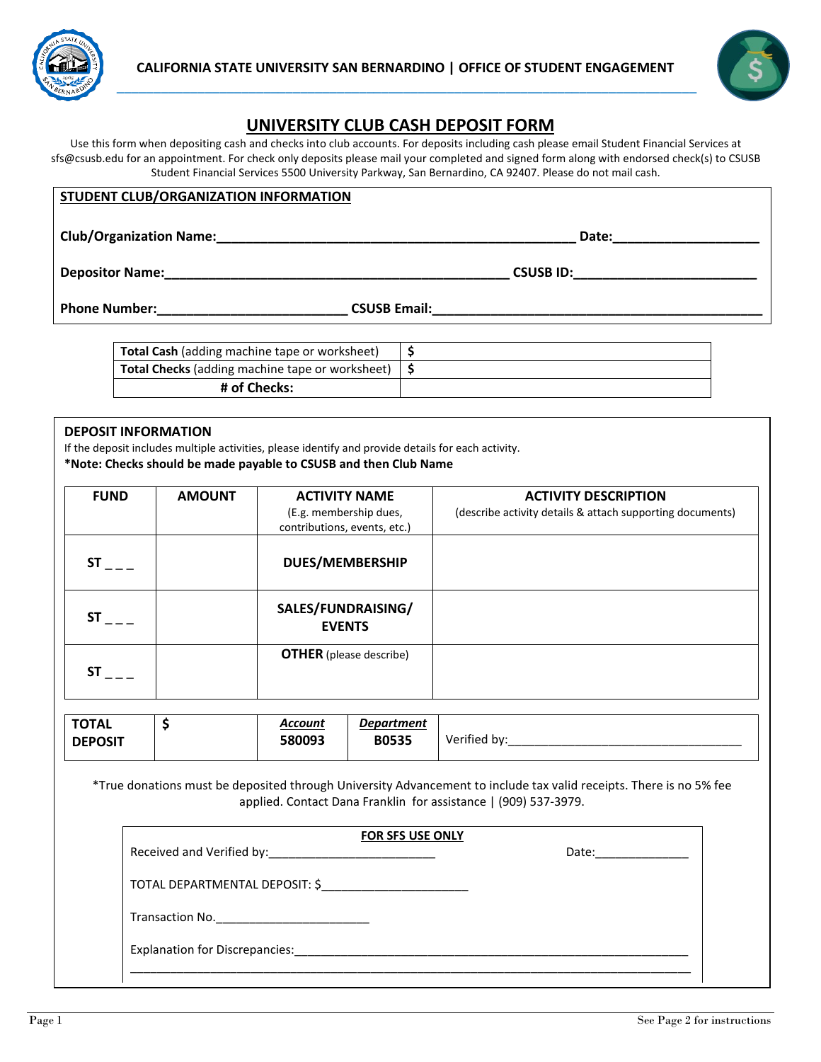



# **UNIVERSITY CLUB CASH DEPOSIT FORM**

Use this form when depositing cash and checks into club accounts. For deposits including cash please email Student Financial Services at sfs@csusb.edu for an appointment. For check only deposits please mail your completed and signed form along with endorsed check(s) to CSUSB Student Financial Services 5500 University Parkway, San Bernardino, CA 92407. Please do not mail cash.

### **STUDENT CLUB/ORGANIZATION INFORMATION**

**Club/Organization Name:\_\_\_\_\_\_\_\_\_\_\_\_\_\_\_\_\_\_\_\_\_\_\_\_\_\_\_\_\_\_\_\_\_\_\_\_\_\_\_\_\_\_\_\_\_\_\_\_\_ Date:\_\_\_\_\_\_\_\_\_\_\_\_\_\_\_\_\_\_\_\_**

**Depositor Name:\_\_\_\_\_\_\_\_\_\_\_\_\_\_\_\_\_\_\_\_\_\_\_\_\_\_\_\_\_\_\_\_\_\_\_\_\_\_\_\_\_\_\_\_\_\_\_ CSUSB ID:\_\_\_\_\_\_\_\_\_\_\_\_\_\_\_\_\_\_\_\_\_\_\_\_\_**

**Phone Number:\_\_\_\_\_\_\_\_\_\_\_\_\_\_\_\_\_\_\_\_\_\_\_\_\_\_ CSUSB Email:\_\_\_\_\_\_\_\_\_\_\_\_\_\_\_\_\_\_\_\_\_\_\_\_\_\_\_\_\_\_\_\_\_\_\_\_\_\_\_\_\_\_\_\_\_**

| <b>Total Cash</b> (adding machine tape or worksheet)                                  |  |
|---------------------------------------------------------------------------------------|--|
| <b>Total Checks</b> (adding machine tape or worksheet) $\vert \mathbf{\hat{S}} \vert$ |  |
| # of Checks:                                                                          |  |
|                                                                                       |  |

#### **DEPOSIT INFORMATION**

If the deposit includes multiple activities, please identify and provide details for each activity. **\*Note: Checks should be made payable to CSUSB and then Club Name**

| <b>FUND</b> | <b>AMOUNT</b> | <b>ACTIVITY NAME</b>                                   | <b>ACTIVITY DESCRIPTION</b>                               |
|-------------|---------------|--------------------------------------------------------|-----------------------------------------------------------|
|             |               | (E.g. membership dues,<br>contributions, events, etc.) | (describe activity details & attach supporting documents) |
| SΤ          |               | <b>DUES/MEMBERSHIP</b>                                 |                                                           |
| SΤ          |               | SALES/FUNDRAISING/<br><b>EVENTS</b>                    |                                                           |
| <b>ST</b>   |               | <b>OTHER</b> (please describe)                         |                                                           |

| <b>TOTAL</b>   | Account | <b>Department</b> |                           |
|----------------|---------|-------------------|---------------------------|
| <b>DEPOSIT</b> | 580093  | <b>B0535</b>      | $\cdot$ .<br>Verified by: |

\*True donations must be deposited through University Advancement to include tax valid receipts. There is no 5% fee applied. Contact Dana Franklin for assistance | (909) 537-3979.

| <b>FOR SFS USE ONLY</b>                                            |       |  |  |
|--------------------------------------------------------------------|-------|--|--|
| Received and Verified by:<br><u> Letter Lines and Serified by:</u> | Date: |  |  |
| TOTAL DEPARTMENTAL DEPOSIT: \$                                     |       |  |  |
|                                                                    |       |  |  |
| Explanation for Discrepancies: Explanation for Discrepancies:      |       |  |  |
|                                                                    |       |  |  |